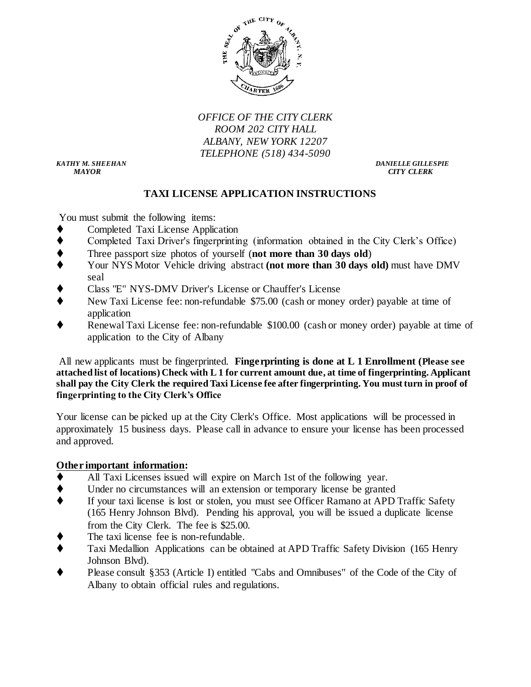

*OFFICE OF THE CITY CLERK ROOM 202 CITY HALL ALBANY, NEW YORK 12207 TELEPHONE (518) 434-5090*

 *MAYOR CITY CLERK*

*KATHY M. SHEEHAN DANIELLE GILLESPIE*

# **TAXI LICENSE APPLICATION INSTRUCTIONS**

You must submit the following items:

- Completed Taxi License Application
- Completed Taxi Driver's fingerprinting (information obtained in the City Clerk's Office)
- Three passport size photos of yourself (**not more than 30 days old**)
- Your NYS Motor Vehicle driving abstract **(not more than 30 days old)** must have DMV seal
- Class "E" NYS-DMV Driver's License or Chauffer's License
- New Taxi License fee: non-refundable \$75.00 (cash or money order) payable at time of application
- Renewal Taxi License fee: non-refundable \$100.00 (cash or money order) payable at time of application to the City of Albany

All new applicants must be fingerprinted. **Fingerprinting is done at L 1 Enrollment (Please see attached list of locations) Check with L 1 for current amount due, at time of fingerprinting. Applicant shall pay the City Clerk the required Taxi License fee after fingerprinting. You must turn in proof of fingerprinting to the City Clerk's Office**

Your license can be picked up at the City Clerk's Office. Most applications will be processed in approximately 15 business days. Please call in advance to ensure your license has been processed and approved.

# **Other important information:**

- All Taxi Licenses issued will expire on March 1st of the following year.
- Under no circumstances will an extension or temporary license be granted
- If your taxi license is lost or stolen, you must see Officer Ramano at APD Traffic Safety (165 Henry Johnson Blvd). Pending his approval, you will be issued a duplicate license from the City Clerk. The fee is \$25.00.
- The taxi license fee is non-refundable.
- Taxi Medallion Applications can be obtained at APD Traffic Safety Division (165 Henry Johnson Blvd).
- Please consult §353 (Article I) entitled "Cabs and Omnibuses" of the Code of the City of Albany to obtain official rules and regulations.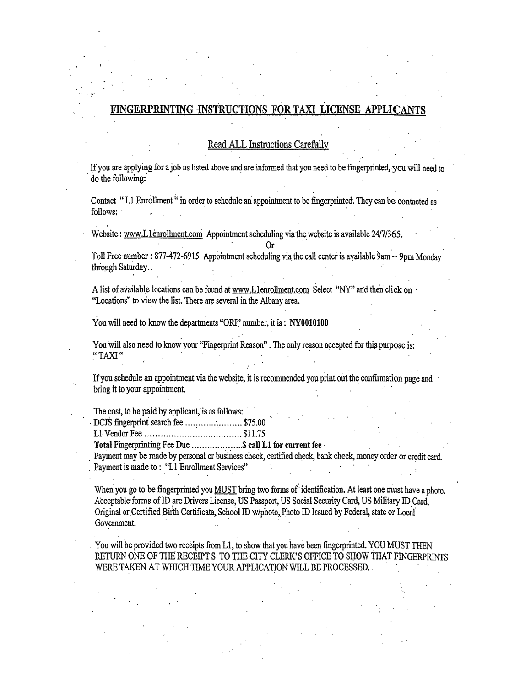#### FINGERPRINTING INSTRUC TIONS FOR TAXI LICENSE APPLIC

#### Read ALL Instructions Carefully

If you are applying for a job as listed above and are informed that you need to be fingerprinted, you will need to do the following:

Contact "L1 Enrollment" in order to schedule an appointment to be fingerprinted. They can be contacted as follows:

Website: www.L1enrollment.com Appointment scheduling via the website is available 24/7/365.

Toll Free number: 877-472-6915 Appointment scheduling via the call center is available 9am – 9pm Monday through Saturday.

0r

A list of available locations can be found at www.L1enrollment.com Select "NY" and then click on "Locations" to view the list. There are several in the Albany area.

You will need to know the departments "ORI" number, it is: NY0010100

You will also need to know your "Fingerprint Reason". The only reason accepted for this purpose is: "TAXI"

If you schedule an appointment via the website, it is recommended you print out the confirmation page and bring it to your appointment.

The cost, to be paid by applicant, is as follows:

DCJS fingerprint search fee ........................... \$75.00

Total Fingerprinting Fee Due ...................\$ call L1 for current fee -

Payment may be made by personal or business check, certified check, bank check, money order or credit card. Payment is made to: "L1 Enrollment Services"

When you go to be fingerprinted you MUST bring two forms of identification. At least one must have a photo. Acceptable forms of ID are Drivers License, US Passport, US Social Security Card, US Military ID Card, Original or Certified Birth Certificate, School ID w/photo, Photo ID Issued by Federal, state or Local Government.

You will be provided two receipts from L1, to show that you have been fingerprinted. YOU MUST THEN RETURN ONE OF THE RECEIPT S TO THE CITY CLERK'S OFFICE TO SHOW THAT FINGERPRINTS WERE TAKEN AT WHICH TIME YOUR APPLICATION WILL BE PROCESSED.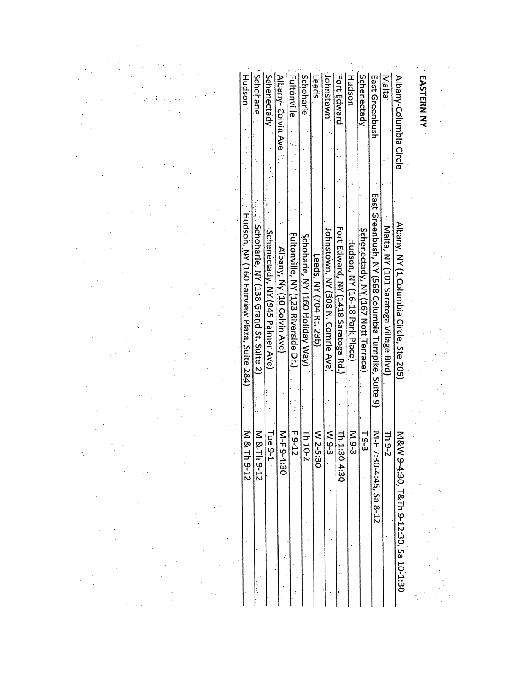|  | Hudson                                     | <b>Schoharie</b><br>Schenectady                                           | Albany- Colvin Ave         | <b>Fultonville</b>                    | Schoharie                          | Leeds                         | Johnstown<br>Fort Edward          | Hudson                                                                 | Schenectady                           | East Greenbush                                             | Malta                                 | Albany-Columbia Circle                 | EASTERN NY |  |
|--|--------------------------------------------|---------------------------------------------------------------------------|----------------------------|---------------------------------------|------------------------------------|-------------------------------|-----------------------------------|------------------------------------------------------------------------|---------------------------------------|------------------------------------------------------------|---------------------------------------|----------------------------------------|------------|--|
|  | Hudson, NY (160 Fairview Plaza, Suite 284) | Schoharie, NY (138 Grand St. Suite 2)<br>Schenectady, NY (945 Palmer Ave) | Albany, Ny (10 Colvin Ave) | Fultonville, NY<br>(123 Riverside Dr. | Schoharie, NY<br>(160 Holiday Way) | Leeds, NY<br>(704 Rt.<br>23b) | Johnstown, NY (308 N. Comrie Ave) | Fort Edward, NY<br>Hudson, NY (16-18 Park Place)<br>(1418 Saratoga Rd. | Schenectady, NY<br>(167 Nott Terrace) | East Greenbush, NY (568 Columbia Turnpike,<br><b>Suite</b> | Malta, NY (101 Saratoga Village Blvd) | Albany, NY (1 Columbia Circle, Ste 205 |            |  |
|  | M & Th 9-12                                | M & Th 9-12                                                               | M-F 9-4:30<br>Tue 9-1      |                                       | $\frac{7h\ 10-2}{F\ 9-12}$         | W 2-5:30                      | Th.1:30-4:30<br>W 9-3             |                                                                        | $\frac{M}{9-3}$<br>$-9-3$             | M-F 7:30-4:45,<br>Sa 8-12                                  | <b>Th 9-2</b>                         | M&W 9-4:30, T&Th 9-12:30, Sa 10-1:30   |            |  |

 $\mathcal{L}^{\mathcal{L}}(\mathcal{L}^{\mathcal{L}})$  and  $\mathcal{L}^{\mathcal{L}}(\mathcal{L}^{\mathcal{L}})$  and  $\mathcal{L}^{\mathcal{L}}(\mathcal{L}^{\mathcal{L}})$  $\mathcal{L}^{\text{max}}_{\text{max}}$  $\label{eq:2} \frac{1}{2} \sum_{i=1}^n \frac{1}{2} \sum_{j=1}^n \frac{1}{2} \sum_{j=1}^n \frac{1}{2} \sum_{j=1}^n \frac{1}{2} \sum_{j=1}^n \frac{1}{2} \sum_{j=1}^n \frac{1}{2} \sum_{j=1}^n \frac{1}{2} \sum_{j=1}^n \frac{1}{2} \sum_{j=1}^n \frac{1}{2} \sum_{j=1}^n \frac{1}{2} \sum_{j=1}^n \frac{1}{2} \sum_{j=1}^n \frac{1}{2} \sum_{j=1}^n \frac{1}{$  $\label{eq:2} \mathcal{L} = \left\{ \begin{array}{ll} \mathcal{L}_{\text{max}} & \mathcal{L}_{\text{max}} \\ \mathcal{L}_{\text{max}} & \mathcal{L}_{\text{max}} \end{array} \right.$  $\label{eq:2} \frac{1}{\sqrt{2}}\left(\frac{1}{\sqrt{2}}\right)^{2} \frac{1}{\sqrt{2}}\left(\frac{1}{\sqrt{2}}\right)^{2} \frac{1}{\sqrt{2}}\left(\frac{1}{\sqrt{2}}\right)^{2} \frac{1}{\sqrt{2}}\left(\frac{1}{\sqrt{2}}\right)^{2} \frac{1}{\sqrt{2}}\left(\frac{1}{\sqrt{2}}\right)^{2} \frac{1}{\sqrt{2}}\left(\frac{1}{\sqrt{2}}\right)^{2} \frac{1}{\sqrt{2}}\left(\frac{1}{\sqrt{2}}\right)^{2} \frac{1}{\sqrt{2}}\left(\frac{1}{$  $\label{eq:2} \frac{1}{2} \int_{\mathbb{R}^3} \frac{1}{\sqrt{2}} \, \frac{1}{\sqrt{2}} \, \frac{1}{\sqrt{2}} \, \frac{1}{\sqrt{2}} \, \frac{1}{\sqrt{2}} \, \frac{1}{\sqrt{2}} \, \frac{1}{\sqrt{2}} \, \frac{1}{\sqrt{2}} \, \frac{1}{\sqrt{2}} \, \frac{1}{\sqrt{2}} \, \frac{1}{\sqrt{2}} \, \frac{1}{\sqrt{2}} \, \frac{1}{\sqrt{2}} \, \frac{1}{\sqrt{2}} \, \frac{1}{\sqrt{2}} \, \frac{1}{\sqrt{2}} \, \frac$  $\label{eq:2} \frac{1}{\sqrt{2}}\int_{\mathbb{R}^3} \left|\frac{d\mathbf{r}}{d\mathbf{r}}\right|^2 \, d\mathbf{r} \, d\mathbf{r} \, d\mathbf{r} \, d\mathbf{r} \, d\mathbf{r} \, d\mathbf{r} \, d\mathbf{r} \, d\mathbf{r} \, d\mathbf{r} \, d\mathbf{r} \, d\mathbf{r} \, d\mathbf{r} \, d\mathbf{r} \, d\mathbf{r} \, d\mathbf{r} \, d\mathbf{r} \, d\mathbf{r} \, d\mathbf{r} \, d\math$  $\mathcal{L}^{\text{max}}_{\text{max}}$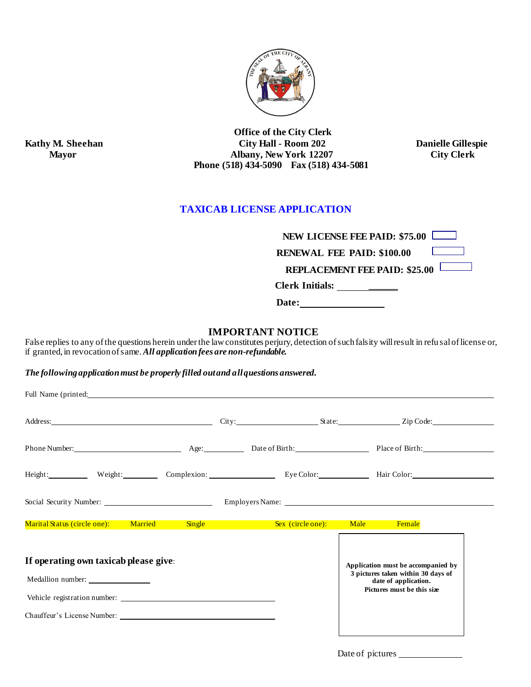

 **Office of the City Clerk Kathy M. Sheehan City Hall - Room 202 Danielle Gillespie Mayor Mayor Albany, New York 12207 City Clerk Mayor** Albany, New York 12207  **Phone (518) 434-5090 Fax (518) 434-5081**

# **TAXICAB LICENSE APPLICATION**

| <b>NEW LICENSE FEE PAID: \$75.00</b> |  |
|--------------------------------------|--|
|                                      |  |

 **RENEWAL FEE PAID: \$100.00** 

 **REPLACEMENT FEE PAID: \$25.00** 

 **Clerk Initials: \_\_\_\_\_\_**

 **Date:** 

### **IMPORTANT NOTICE**

False replies to any of the questions herein under the law constitutes perjury, detection of such falsity will result in refu sal of license or, if granted, in revocation of same.*All application fees are non-refundable.*

*The following application must be properly filled out and all questions answered.*

| Full Name (printed:                                                          |                                                                                                                                |  |  |
|------------------------------------------------------------------------------|--------------------------------------------------------------------------------------------------------------------------------|--|--|
|                                                                              |                                                                                                                                |  |  |
|                                                                              |                                                                                                                                |  |  |
| Height: Weight: Complexion: Complexion: Eye Color: Hair Color: Hair Color:   |                                                                                                                                |  |  |
|                                                                              |                                                                                                                                |  |  |
| Marital Status (circle one): Married Single Sex (circle one): Male Female    |                                                                                                                                |  |  |
| If operating own taxicab please give:<br>Medallion number: _________________ | Application must be accompanied by<br>3 pictures taken within 30 days of<br>date of application.<br>Pictures must be this size |  |  |
|                                                                              |                                                                                                                                |  |  |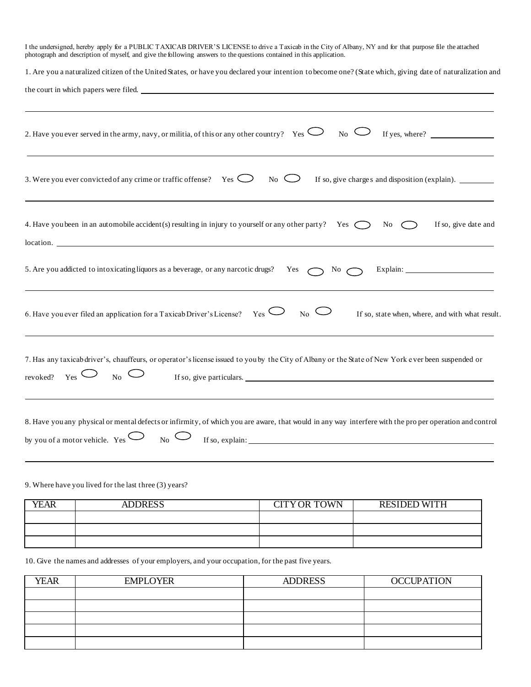| I the undersigned, hereby apply for a PUBLIC TAXICAB DRIVER'S LICENSE to drive a Taxicab in the City of Albany, NY and for that purpose file the attached<br>photograph and description of myself, and give the following answers to the questions contained in this application. |
|-----------------------------------------------------------------------------------------------------------------------------------------------------------------------------------------------------------------------------------------------------------------------------------|
| 1. Are you a naturalized citizen of the United States, or have you declared your intention to become one? (State which, giving date of naturalization and                                                                                                                         |
| the court in which papers were filed.                                                                                                                                                                                                                                             |
|                                                                                                                                                                                                                                                                                   |
| 2. Have you ever served in the army, navy, or militia, of this or any other country? Yes $\bigcirc$<br>$_{\text{No}}$ $\cup$<br>If yes, where? $\qquad \qquad$                                                                                                                    |
| 3. Were you ever convicted of any crime or traffic offense? Yes $\bigcirc$<br>If so, give charges and disposition (explain).<br>$\mathbb{N}_0$ $\bigcirc$                                                                                                                         |
| 4. Have you been in an automobile accident(s) resulting in injury to yourself or any other party? Yes $\bigcap$<br>No<br>If so, give date and<br>location.                                                                                                                        |
| 5. Are you addicted to intoxicating liquors as a beverage, or any narcotic drugs?<br>Yes $\bigcap$ No $\bigcap$                                                                                                                                                                   |
| $_{\rm No}$ $\subset$<br>$_{\text{Yes}}$ $\subset$<br>6. Have you ever filed an application for a Taxicab Driver's License?<br>If so, state when, where, and with what result.                                                                                                    |
| 7. Has any taxicab driver's, chauffeurs, or operator's license issued to you by the City of Albany or the State of New York ever been suspended or<br>$_{\text{Yes}}$ $\cup$<br>No<br>If so, give particulars.<br>revoked?                                                        |
| 8. Have you any physical or mental defects or infirmity, of which you are aware, that would in any way interfere with the proper operation and control<br>by you of a motor vehicle. Yes<br>$_{\text{No}} \cup$                                                                   |

9. Where have you lived for the last three (3) years?

| <b>YEAR</b> | <b>ADDRESS</b> | <b>CITY OR TOWN</b> | <b>RESIDED WITH</b> |
|-------------|----------------|---------------------|---------------------|
|             |                |                     |                     |
|             |                |                     |                     |
|             |                |                     |                     |

10. Give the names and addresses of your employers, and your occupation, for the past five years.

| <b>YEAR</b> | <b>EMPLOYER</b> | <b>ADDRESS</b> | <b>OCCUPATION</b> |
|-------------|-----------------|----------------|-------------------|
|             |                 |                |                   |
|             |                 |                |                   |
|             |                 |                |                   |
|             |                 |                |                   |
|             |                 |                |                   |